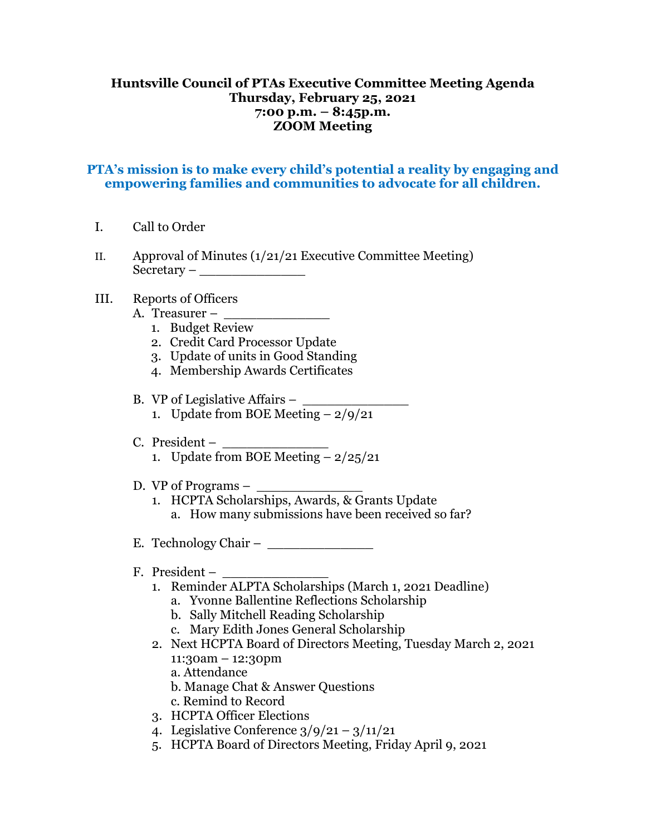## **Huntsville Council of PTAs Executive Committee Meeting Agenda Thursday, February 25, 2021 7:00 p.m. – 8:45p.m. ZOOM Meeting**

## **PTA's mission is to make every child's potential a reality by engaging and empowering families and communities to advocate for all children.**

- I. Call to Order
- II. Approval of Minutes  $\left(\frac{1}{21}\right)$  Executive Committee Meeting) Secretary – \_\_\_\_\_\_\_\_\_\_\_\_\_
- III. Reports of Officers
	- A. Treasurer \_\_\_\_\_\_\_\_\_\_\_\_\_
		- 1. Budget Review
		- 2. Credit Card Processor Update
		- 3. Update of units in Good Standing
		- 4. Membership Awards Certificates
	- B. VP of Legislative Affairs  $-$ 1. Update from BOE Meeting  $-2/9/21$
	- C. President
		- 1. Update from BOE Meeting  $-2/25/21$
	- D. VP of Programs  $-$ 
		- 1. HCPTA Scholarships, Awards, & Grants Update a. How many submissions have been received so far?
	- E. Technology Chair –
	- F. President
		- 1. Reminder ALPTA Scholarships (March 1, 2021 Deadline)
			- a. Yvonne Ballentine Reflections Scholarship
			- b. Sally Mitchell Reading Scholarship
			- c. Mary Edith Jones General Scholarship
		- 2. Next HCPTA Board of Directors Meeting, Tuesday March 2, 2021 11:30am – 12:30pm
			- a. Attendance
			- b. Manage Chat & Answer Questions
			- c. Remind to Record
		- 3. HCPTA Officer Elections
		- 4. Legislative Conference  $3/9/21 3/11/21$
		- 5. HCPTA Board of Directors Meeting, Friday April 9, 2021